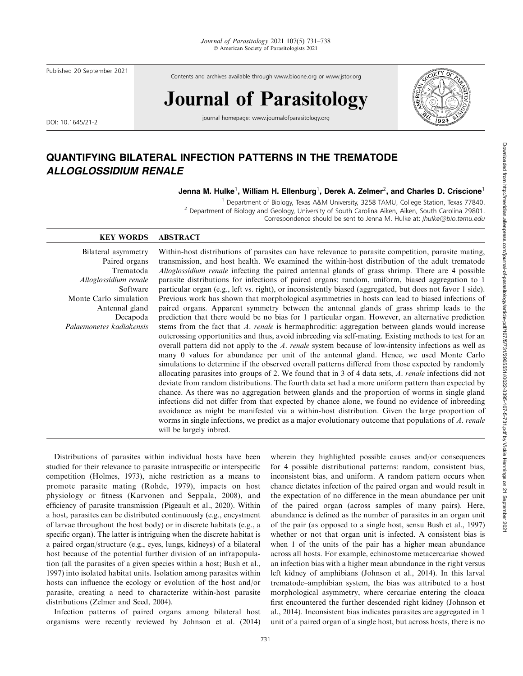Published 20 September 2021

Contents and archives available through www.bioone.org or www.jstor.org

# Journal of Parasitology

DOI: 10.1645/21-2

journal homepage: www.journalofparasitology.org



# QUANTIFYING BILATERAL INFECTION PATTERNS IN THE TREMATODE ALLOGLOSSIDIUM RENALE

Jenna M. Hulke $^1$ , William H. Ellenburg $^1$ , Derek A. Zelmer $^2$ , and Charles D. Criscione $^1$ 

<sup>1</sup> Department of Biology, Texas A&M University, 3258 TAMU, College Station, Texas 77840. <sup>2</sup> Department of Biology and Geology, University of South Carolina Aiken, Aiken, South Carolina 29801. Correspondence should be sent to Jenna M. Hulke at: jhulke@bio.tamu.edu

### KEY WORDS ABSTRACT

Bilateral asymmetry Paired organs Trematoda Alloglossidium renale Software Monte Carlo simulation Antennal gland Decapoda Palaemonetes kadiakensis Within-host distributions of parasites can have relevance to parasite competition, parasite mating, transmission, and host health. We examined the within-host distribution of the adult trematode Alloglossidium renale infecting the paired antennal glands of grass shrimp. There are 4 possible parasite distributions for infections of paired organs: random, uniform, biased aggregation to 1 particular organ (e.g., left vs. right), or inconsistently biased (aggregated, but does not favor 1 side). Previous work has shown that morphological asymmetries in hosts can lead to biased infections of paired organs. Apparent symmetry between the antennal glands of grass shrimp leads to the prediction that there would be no bias for 1 particular organ. However, an alternative prediction stems from the fact that A. renale is hermaphroditic: aggregation between glands would increase outcrossing opportunities and thus, avoid inbreeding via self-mating. Existing methods to test for an overall pattern did not apply to the A. renale system because of low-intensity infections as well as many 0 values for abundance per unit of the antennal gland. Hence, we used Monte Carlo simulations to determine if the observed overall patterns differed from those expected by randomly allocating parasites into groups of 2. We found that in 3 of 4 data sets, A. renale infections did not deviate from random distributions. The fourth data set had a more uniform pattern than expected by chance. As there was no aggregation between glands and the proportion of worms in single gland infections did not differ from that expected by chance alone, we found no evidence of inbreeding avoidance as might be manifested via a within-host distribution. Given the large proportion of worms in single infections, we predict as a major evolutionary outcome that populations of A. renale will be largely inbred.

Distributions of parasites within individual hosts have been studied for their relevance to parasite intraspecific or interspecific competition (Holmes, 1973), niche restriction as a means to promote parasite mating (Rohde, 1979), impacts on host physiology or fitness (Karvonen and Seppala, 2008), and efficiency of parasite transmission (Pigeault et al., 2020). Within a host, parasites can be distributed continuously (e.g., encystment of larvae throughout the host body) or in discrete habitats (e.g., a specific organ). The latter is intriguing when the discrete habitat is a paired organ/structure (e.g., eyes, lungs, kidneys) of a bilateral host because of the potential further division of an infrapopulation (all the parasites of a given species within a host; Bush et al., 1997) into isolated habitat units. Isolation among parasites within hosts can influence the ecology or evolution of the host and/or parasite, creating a need to characterize within-host parasite distributions (Zelmer and Seed, 2004).

Infection patterns of paired organs among bilateral host organisms were recently reviewed by Johnson et al. (2014)

wherein they highlighted possible causes and/or consequences for 4 possible distributional patterns: random, consistent bias, inconsistent bias, and uniform. A random pattern occurs when chance dictates infection of the paired organ and would result in the expectation of no difference in the mean abundance per unit of the paired organ (across samples of many pairs). Here, abundance is defined as the number of parasites in an organ unit of the pair (as opposed to a single host, sensu Bush et al., 1997) whether or not that organ unit is infected. A consistent bias is when 1 of the units of the pair has a higher mean abundance across all hosts. For example, echinostome metacercariae showed an infection bias with a higher mean abundance in the right versus left kidney of amphibians (Johnson et al., 2014). In this larval trematode–amphibian system, the bias was attributed to a host morphological asymmetry, where cercariae entering the cloaca first encountered the further descended right kidney (Johnson et al., 2014). Inconsistent bias indicates parasites are aggregated in 1 unit of a paired organ of a single host, but across hosts, there is no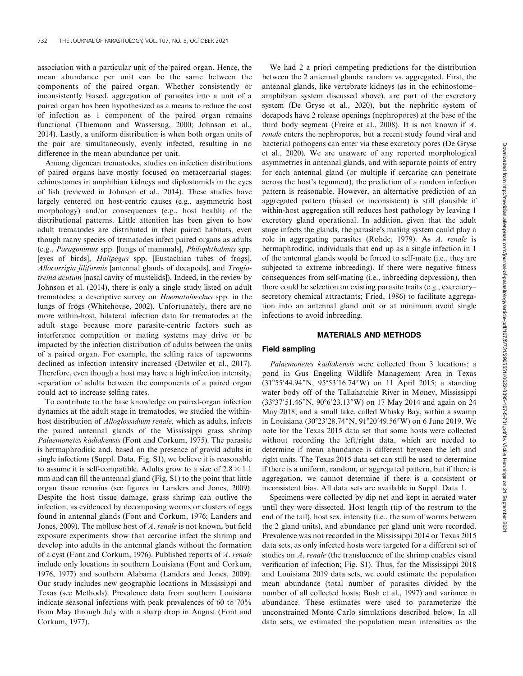association with a particular unit of the paired organ. Hence, the mean abundance per unit can be the same between the components of the paired organ. Whether consistently or inconsistently biased, aggregation of parasites into a unit of a paired organ has been hypothesized as a means to reduce the cost of infection as 1 component of the paired organ remains functional (Thiemann and Wassersug, 2000; Johnson et al., 2014). Lastly, a uniform distribution is when both organ units of the pair are simultaneously, evenly infected, resulting in no difference in the mean abundance per unit.

Among digenean trematodes, studies on infection distributions of paired organs have mostly focused on metacercarial stages: echinostomes in amphibian kidneys and diplostomids in the eyes of fish (reviewed in Johnson et al., 2014). These studies have largely centered on host-centric causes (e.g., asymmetric host morphology) and/or consequences (e.g., host health) of the distributional patterns. Little attention has been given to how adult trematodes are distributed in their paired habitats, even though many species of trematodes infect paired organs as adults (e.g., Paragonimus spp. [lungs of mammals], Philophthalmus spp. [eyes of birds], Halipegus spp. [Eustachian tubes of frogs], Allocorrigia filiformis [antennal glands of decapods], and Troglotrema acutum [nasal cavity of mustelids]). Indeed, in the review by Johnson et al. (2014), there is only a single study listed on adult trematodes; a descriptive survey on Haematoloechus spp. in the lungs of frogs (Whitehouse, 2002). Unfortunately, there are no more within-host, bilateral infection data for trematodes at the adult stage because more parasite-centric factors such as interference competition or mating systems may drive or be impacted by the infection distribution of adults between the units of a paired organ. For example, the selfing rates of tapeworms declined as infection intensity increased (Detwiler et al., 2017). Therefore, even though a host may have a high infection intensity, separation of adults between the components of a paired organ could act to increase selfing rates.

To contribute to the base knowledge on paired-organ infection dynamics at the adult stage in trematodes, we studied the withinhost distribution of Alloglossidium renale, which as adults, infects the paired antennal glands of the Mississippi grass shrimp Palaemonetes kadiakensis (Font and Corkum, 1975). The parasite is hermaphroditic and, based on the presence of gravid adults in single infections (Suppl. Data, Fig. S1), we believe it is reasonable to assume it is self-compatible. Adults grow to a size of  $2.8 \times 1.1$ mm and can fill the antennal gland (Fig. S1) to the point that little organ tissue remains (see figures in Landers and Jones, 2009). Despite the host tissue damage, grass shrimp can outlive the infection, as evidenced by decomposing worms or clusters of eggs found in antennal glands (Font and Corkum, 1976; Landers and Jones, 2009). The mollusc host of A. renale is not known, but field exposure experiments show that cercariae infect the shrimp and develop into adults in the antennal glands without the formation of a cyst (Font and Corkum, 1976). Published reports of A. renale include only locations in southern Louisiana (Font and Corkum, 1976, 1977) and southern Alabama (Landers and Jones, 2009). Our study includes new geographic locations in Mississippi and Texas (see Methods). Prevalence data from southern Louisiana indicate seasonal infections with peak prevalences of 60 to 70% from May through July with a sharp drop in August (Font and Corkum, 1977).

We had 2 a priori competing predictions for the distribution between the 2 antennal glands: random vs. aggregated. First, the antennal glands, like vertebrate kidneys (as in the echinostome– amphibian system discussed above), are part of the excretory system (De Gryse et al., 2020), but the nephritic system of decapods have 2 release openings (nephropores) at the base of the third body segment (Freire et al., 2008). It is not known if A. renale enters the nephropores, but a recent study found viral and bacterial pathogens can enter via these excretory pores (De Gryse et al., 2020). We are unaware of any reported morphological asymmetries in antennal glands, and with separate points of entry for each antennal gland (or multiple if cercariae can penetrate across the host's tegument), the prediction of a random infection pattern is reasonable. However, an alternative prediction of an aggregated pattern (biased or inconsistent) is still plausible if within-host aggregation still reduces host pathology by leaving 1 excretory gland operational. In addition, given that the adult stage infects the glands, the parasite's mating system could play a role in aggregating parasites (Rohde, 1979). As A. renale is hermaphroditic, individuals that end up as a single infection in 1 of the antennal glands would be forced to self-mate (i.e., they are subjected to extreme inbreeding). If there were negative fitness consequences from self-mating (i.e., inbreeding depression), then there could be selection on existing parasite traits (e.g., excretory– secretory chemical attractants; Fried, 1986) to facilitate aggregation into an antennal gland unit or at minimum avoid single infections to avoid inbreeding.

#### MATERIALS AND METHODS

#### Field sampling

Palaemonetes kadiakensis were collected from 3 locations: a pond in Gus Engeling Wildlife Management Area in Texas (31°55'44.94"N, 95°53'16.74"W) on 11 April 2015; a standing water body off of the Tallahatchie River in Money, Mississippi (33°37′51.46″N, 90°6′23.13″W) on 17 May 2014 and again on 24 May 2018; and a small lake, called Whisky Bay, within a swamp in Louisiana (30°23′28.74″N, 91°20′49.56″W) on 6 June 2019. We note for the Texas 2015 data set that some hosts were collected without recording the left/right data, which are needed to determine if mean abundance is different between the left and right units. The Texas 2015 data set can still be used to determine if there is a uniform, random, or aggregated pattern, but if there is aggregation, we cannot determine if there is a consistent or inconsistent bias. All data sets are available in Suppl. Data 1.

Specimens were collected by dip net and kept in aerated water until they were dissected. Host length (tip of the rostrum to the end of the tail), host sex, intensity (i.e., the sum of worms between the 2 gland units), and abundance per gland unit were recorded. Prevalence was not recorded in the Mississippi 2014 or Texas 2015 data sets, as only infected hosts were targeted for a different set of studies on A. renale (the translucence of the shrimp enables visual verification of infection; Fig. S1). Thus, for the Mississippi 2018 and Louisiana 2019 data sets, we could estimate the population mean abundance (total number of parasites divided by the number of all collected hosts; Bush et al., 1997) and variance in abundance. These estimates were used to parameterize the unconstrained Monte Carlo simulations described below. In all data sets, we estimated the population mean intensities as the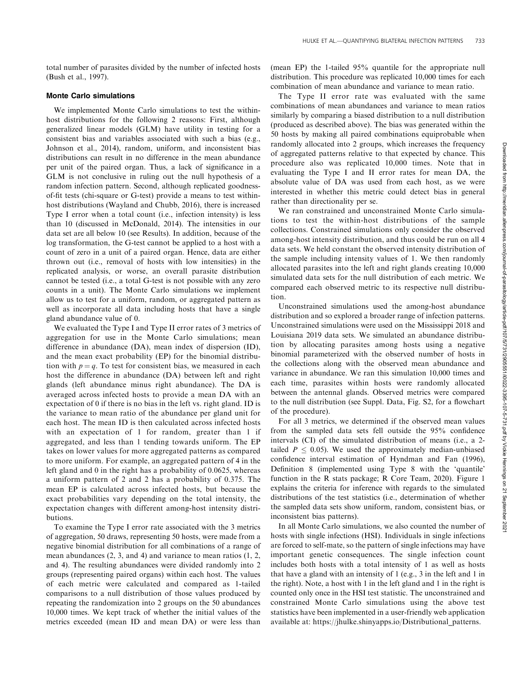total number of parasites divided by the number of infected hosts (Bush et al., 1997).

#### Monte Carlo simulations

We implemented Monte Carlo simulations to test the withinhost distributions for the following 2 reasons: First, although generalized linear models (GLM) have utility in testing for a consistent bias and variables associated with such a bias (e.g., Johnson et al., 2014), random, uniform, and inconsistent bias distributions can result in no difference in the mean abundance per unit of the paired organ. Thus, a lack of significance in a GLM is not conclusive in ruling out the null hypothesis of a random infection pattern. Second, although replicated goodnessof-fit tests (chi-square or G-test) provide a means to test withinhost distributions (Wayland and Chubb, 2016), there is increased Type I error when a total count (i.e., infection intensity) is less than 10 (discussed in McDonald, 2014). The intensities in our data set are all below 10 (see Results). In addition, because of the log transformation, the G-test cannot be applied to a host with a count of zero in a unit of a paired organ. Hence, data are either thrown out (i.e., removal of hosts with low intensities) in the replicated analysis, or worse, an overall parasite distribution cannot be tested (i.e., a total G-test is not possible with any zero counts in a unit). The Monte Carlo simulations we implement allow us to test for a uniform, random, or aggregated pattern as well as incorporate all data including hosts that have a single gland abundance value of 0.

We evaluated the Type I and Type II error rates of 3 metrics of aggregation for use in the Monte Carlo simulations; mean difference in abundance (DA), mean index of dispersion (ID), and the mean exact probability (EP) for the binomial distribution with  $p = q$ . To test for consistent bias, we measured in each host the difference in abundance (DA) between left and right glands (left abundance minus right abundance). The DA is averaged across infected hosts to provide a mean DA with an expectation of 0 if there is no bias in the left vs. right gland. ID is the variance to mean ratio of the abundance per gland unit for each host. The mean ID is then calculated across infected hosts with an expectation of 1 for random, greater than 1 if aggregated, and less than 1 tending towards uniform. The EP takes on lower values for more aggregated patterns as compared to more uniform. For example, an aggregated pattern of 4 in the left gland and 0 in the right has a probability of 0.0625, whereas a uniform pattern of 2 and 2 has a probability of 0.375. The mean EP is calculated across infected hosts, but because the exact probabilities vary depending on the total intensity, the expectation changes with different among-host intensity distributions.

To examine the Type I error rate associated with the 3 metrics of aggregation, 50 draws, representing 50 hosts, were made from a negative binomial distribution for all combinations of a range of mean abundances (2, 3, and 4) and variance to mean ratios (1, 2, and 4). The resulting abundances were divided randomly into 2 groups (representing paired organs) within each host. The values of each metric were calculated and compared as 1-tailed comparisons to a null distribution of those values produced by repeating the randomization into 2 groups on the 50 abundances 10,000 times. We kept track of whether the initial values of the metrics exceeded (mean ID and mean DA) or were less than (mean EP) the 1-tailed 95% quantile for the appropriate null distribution. This procedure was replicated 10,000 times for each combination of mean abundance and variance to mean ratio.

The Type II error rate was evaluated with the same combinations of mean abundances and variance to mean ratios similarly by comparing a biased distribution to a null distribution (produced as described above). The bias was generated within the 50 hosts by making all paired combinations equiprobable when randomly allocated into 2 groups, which increases the frequency of aggregated patterns relative to that expected by chance. This procedure also was replicated 10,000 times. Note that in evaluating the Type I and II error rates for mean DA, the absolute value of DA was used from each host, as we were interested in whether this metric could detect bias in general rather than directionality per se.

We ran constrained and unconstrained Monte Carlo simulations to test the within-host distributions of the sample collections. Constrained simulations only consider the observed among-host intensity distribution, and thus could be run on all 4 data sets. We held constant the observed intensity distribution of the sample including intensity values of 1. We then randomly allocated parasites into the left and right glands creating 10,000 simulated data sets for the null distribution of each metric. We compared each observed metric to its respective null distribution.

Unconstrained simulations used the among-host abundance distribution and so explored a broader range of infection patterns. Unconstrained simulations were used on the Mississippi 2018 and Louisiana 2019 data sets. We simulated an abundance distribution by allocating parasites among hosts using a negative binomial parameterized with the observed number of hosts in the collections along with the observed mean abundance and variance in abundance. We ran this simulation 10,000 times and each time, parasites within hosts were randomly allocated between the antennal glands. Observed metrics were compared to the null distribution (see Suppl. Data, Fig. S2, for a flowchart of the procedure).

For all 3 metrics, we determined if the observed mean values from the sampled data sets fell outside the 95% confidence intervals (CI) of the simulated distribution of means (i.e., a 2 tailed  $P \leq 0.05$ ). We used the approximately median-unbiased confidence interval estimation of Hyndman and Fan (1996), Definition 8 (implemented using Type 8 with the 'quantile' function in the R stats package; R Core Team, 2020). Figure 1 explains the criteria for inference with regards to the simulated distributions of the test statistics (i.e., determination of whether the sampled data sets show uniform, random, consistent bias, or inconsistent bias patterns).

In all Monte Carlo simulations, we also counted the number of hosts with single infections (HSI). Individuals in single infections are forced to self-mate, so the pattern of single infections may have important genetic consequences. The single infection count includes both hosts with a total intensity of 1 as well as hosts that have a gland with an intensity of 1 (e.g., 3 in the left and 1 in the right). Note, a host with 1 in the left gland and 1 in the right is counted only once in the HSI test statistic. The unconstrained and constrained Monte Carlo simulations using the above test statistics have been implemented in a user-friendly web application available at: https://jhulke.shinyapps.io/Distributional\_patterns.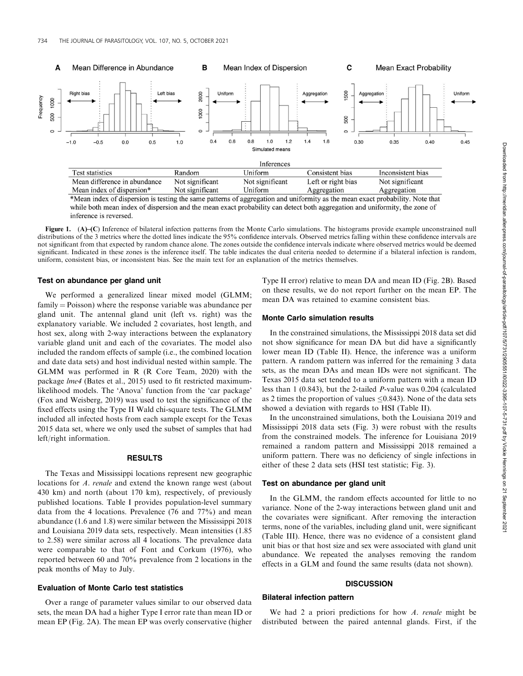

\*Mean index of dispersion is testing the same patterns of aggregation and uniformity as the mean exact probability. Note that while both mean index of dispersion and the mean exact probability can detect both aggregation and uniformity, the zone of inference is reversed.

Figure 1. (A)–(C) Inference of bilateral infection patterns from the Monte Carlo simulations. The histograms provide example unconstrained null distributions of the 3 metrics where the dotted lines indicate the 95% confidence intervals. Observed metrics falling within these confidence intervals are not significant from that expected by random chance alone. The zones outside the confidence intervals indicate where observed metrics would be deemed significant. Indicated in these zones is the inference itself. The table indicates the dual criteria needed to determine if a bilateral infection is random, uniform, consistent bias, or inconsistent bias. See the main text for an explanation of the metrics themselves.

#### Test on abundance per gland unit

We performed a generalized linear mixed model (GLMM;  $family = Poisson$ ) where the response variable was abundance per gland unit. The antennal gland unit (left vs. right) was the explanatory variable. We included 2 covariates, host length, and host sex, along with 2-way interactions between the explanatory variable gland unit and each of the covariates. The model also included the random effects of sample (i.e., the combined location and date data sets) and host individual nested within sample. The GLMM was performed in R (R Core Team, 2020) with the package lme4 (Bates et al., 2015) used to fit restricted maximumlikelihood models. The 'Anova' function from the 'car package' (Fox and Weisberg, 2019) was used to test the significance of the fixed effects using the Type II Wald chi-square tests. The GLMM included all infected hosts from each sample except for the Texas 2015 data set, where we only used the subset of samples that had left/right information.

#### RESULTS

The Texas and Mississippi locations represent new geographic locations for A. renale and extend the known range west (about 430 km) and north (about 170 km), respectively, of previously published locations. Table I provides population-level summary data from the 4 locations. Prevalence (76 and 77%) and mean abundance (1.6 and 1.8) were similar between the Mississippi 2018 and Louisiana 2019 data sets, respectively. Mean intensities (1.85 to 2.58) were similar across all 4 locations. The prevalence data were comparable to that of Font and Corkum (1976), who reported between 60 and 70% prevalence from 2 locations in the peak months of May to July.

#### Evaluation of Monte Carlo test statistics

Over a range of parameter values similar to our observed data sets, the mean DA had a higher Type I error rate than mean ID or mean EP (Fig. 2A). The mean EP was overly conservative (higher Type II error) relative to mean DA and mean ID (Fig. 2B). Based on these results, we do not report further on the mean EP. The mean DA was retained to examine consistent bias.

#### Monte Carlo simulation results

In the constrained simulations, the Mississippi 2018 data set did not show significance for mean DA but did have a significantly lower mean ID (Table II). Hence, the inference was a uniform pattern. A random pattern was inferred for the remaining 3 data sets, as the mean DAs and mean IDs were not significant. The Texas 2015 data set tended to a uniform pattern with a mean ID less than 1 (0.843), but the 2-tailed P-value was 0.204 (calculated as 2 times the proportion of values  $\leq 0.843$ ). None of the data sets showed a deviation with regards to HSI (Table II).

In the unconstrained simulations, both the Louisiana 2019 and Mississippi 2018 data sets (Fig. 3) were robust with the results from the constrained models. The inference for Louisiana 2019 remained a random pattern and Mississippi 2018 remained a uniform pattern. There was no deficiency of single infections in either of these 2 data sets (HSI test statistic; Fig. 3).

#### Test on abundance per gland unit

In the GLMM, the random effects accounted for little to no variance. None of the 2-way interactions between gland unit and the covariates were significant. After removing the interaction terms, none of the variables, including gland unit, were significant (Table III). Hence, there was no evidence of a consistent gland unit bias or that host size and sex were associated with gland unit abundance. We repeated the analyses removing the random effects in a GLM and found the same results (data not shown).

#### **DISCUSSION**

#### Bilateral infection pattern

We had 2 a priori predictions for how A. renale might be distributed between the paired antennal glands. First, if the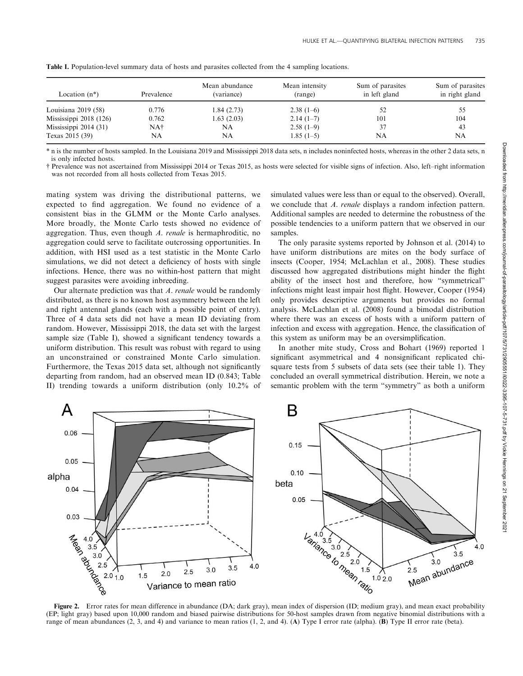| Location $(n^*)$        | Prevalence | Mean abundance<br>(variance) | Mean intensity<br>(range) | Sum of parasites<br>in left gland | Sum of parasites<br>in right gland |
|-------------------------|------------|------------------------------|---------------------------|-----------------------------------|------------------------------------|
| Louisiana $2019(58)$    | 0.776      | 1.84 (2.73)                  | $2.38(1-6)$               |                                   |                                    |
| Mississippi $2018(126)$ | 0.762      | 1.63(2.03)                   | $2.14(1-7)$               | 101                               | 104                                |
| Mississippi $2014(31)$  | NA†        | NA                           | $2.58(1-9)$               | 37                                | 43                                 |
| Texas 2015 (39)         | NA         | NA                           | $1.85(1-5)$               | NA                                | NA                                 |

Table I. Population-level summary data of hosts and parasites collected from the 4 sampling locations.

\* n is the number of hosts sampled. In the Louisiana 2019 and Mississippi 2018 data sets, n includes noninfected hosts, whereas in the other 2 data sets, n is only infected hosts.

† Prevalence was not ascertained from Mississippi 2014 or Texas 2015, as hosts were selected for visible signs of infection. Also, left–right information was not recorded from all hosts collected from Texas 2015.

mating system was driving the distributional patterns, we expected to find aggregation. We found no evidence of a consistent bias in the GLMM or the Monte Carlo analyses. More broadly, the Monte Carlo tests showed no evidence of aggregation. Thus, even though A. renale is hermaphroditic, no aggregation could serve to facilitate outcrossing opportunities. In addition, with HSI used as a test statistic in the Monte Carlo simulations, we did not detect a deficiency of hosts with single infections. Hence, there was no within-host pattern that might suggest parasites were avoiding inbreeding.

Our alternate prediction was that A. renale would be randomly distributed, as there is no known host asymmetry between the left and right antennal glands (each with a possible point of entry). Three of 4 data sets did not have a mean ID deviating from random. However, Mississippi 2018, the data set with the largest sample size (Table I), showed a significant tendency towards a uniform distribution. This result was robust with regard to using an unconstrained or constrained Monte Carlo simulation. Furthermore, the Texas 2015 data set, although not significantly departing from random, had an observed mean ID (0.843; Table II) trending towards a uniform distribution (only 10.2% of

simulated values were less than or equal to the observed). Overall, we conclude that A. renale displays a random infection pattern. Additional samples are needed to determine the robustness of the possible tendencies to a uniform pattern that we observed in our samples.

The only parasite systems reported by Johnson et al. (2014) to have uniform distributions are mites on the body surface of insects (Cooper, 1954; McLachlan et al., 2008). These studies discussed how aggregated distributions might hinder the flight ability of the insect host and therefore, how ''symmetrical'' infections might least impair host flight. However, Cooper (1954) only provides descriptive arguments but provides no formal analysis. McLachlan et al. (2008) found a bimodal distribution where there was an excess of hosts with a uniform pattern of infection and excess with aggregation. Hence, the classification of this system as uniform may be an oversimplification.

In another mite study, Cross and Bohart (1969) reported 1 significant asymmetrical and 4 nonsignificant replicated chisquare tests from 5 subsets of data sets (see their table 1). They concluded an overall symmetrical distribution. Herein, we note a semantic problem with the term ''symmetry'' as both a uniform



(EP; light gray) based upon 10,000 random and biased pairwise distributions for 50-host samples drawn from negative binomial distributions with a range of mean abundances (2, 3, and 4) and variance to mean ratios (1, 2, and 4). (A) Type I error rate (alpha). (B) Type II error rate (beta).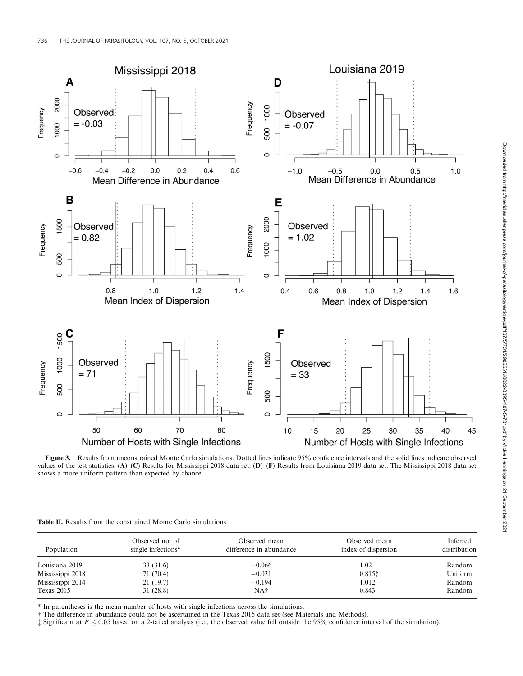

Figure 3. Results from unconstrained Monte Carlo simulations. Dotted lines indicate 95% confidence intervals and the solid lines indicate observed values of the test statistics. (A)–(C) Results for Mississippi 2018 data set. (D)–(F) Results from Louisiana 2019 data set. The Mississippi 2018 data set shows a more uniform pattern than expected by chance.

| <b>Table II.</b> Results from the constrained Monte Carlo simulations. |
|------------------------------------------------------------------------|
|------------------------------------------------------------------------|

| Population       | Observed no. of<br>single infections* | Observed mean<br>difference in abundance | Observed mean<br>index of dispersion | Inferred<br>distribution |
|------------------|---------------------------------------|------------------------------------------|--------------------------------------|--------------------------|
| Louisiana 2019   | 33 (31.6)                             | $-0.066$                                 | 1.02                                 | Random                   |
| Mississippi 2018 | 71 (70.4)                             | $-0.031$                                 | 0.8151                               | Uniform                  |
| Mississippi 2014 | 21(19.7)                              | $-0.194$                                 | 1.012                                | Random                   |
| Texas 2015       | 31 (28.8)                             | NA†                                      | 0.843                                | Random                   |

\* In parentheses is the mean number of hosts with single infections across the simulations.

† The difference in abundance could not be ascertained in the Texas 2015 data set (see Materials and Methods).

 $\ddagger$  Significant at  $P \le 0.05$  based on a 2-tailed analysis (i.e., the observed value fell outside the 95% confidence interval of the simulation).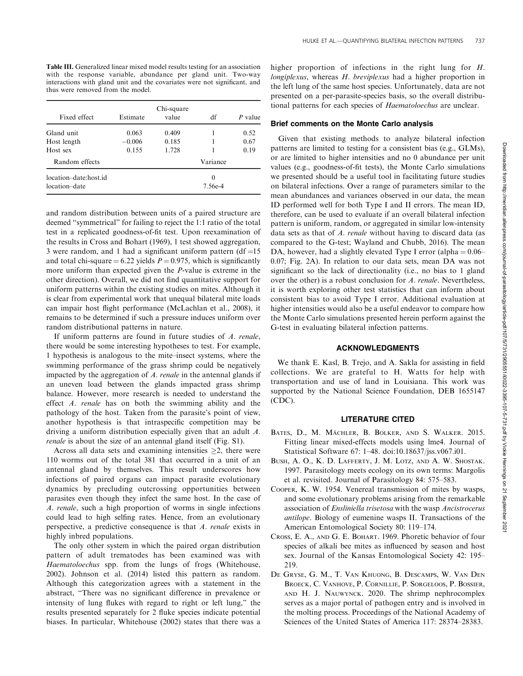Table III. Generalized linear mixed model results testing for an association with the response variable, abundance per gland unit. Two-way interactions with gland unit and the covariates were not significant, and thus were removed from the model.

| Fixed effect                           | Estimate | Chi-square<br>value | df                  | P value |
|----------------------------------------|----------|---------------------|---------------------|---------|
| Gland unit                             | 0.063    | 0.409               |                     | 0.52    |
| Host length                            | $-0.006$ | 0.185               |                     | 0.67    |
| Host sex                               | 0.155    | 1.728               |                     | 0.19    |
| Random effects                         |          |                     | Variance            |         |
| location-date:host.id<br>location-date |          |                     | $\Omega$<br>7.56e-4 |         |

and random distribution between units of a paired structure are deemed ''symmetrical'' for failing to reject the 1:1 ratio of the total test in a replicated goodness-of-fit test. Upon reexamination of the results in Cross and Bohart (1969), 1 test showed aggregation, 3 were random, and 1 had a significant uniform pattern (df = $15$ and total chi-square = 6.22 yields  $P = 0.975$ , which is significantly more uniform than expected given the P-value is extreme in the other direction). Overall, we did not find quantitative support for uniform patterns within the existing studies on mites. Although it is clear from experimental work that unequal bilateral mite loads can impair host flight performance (McLachlan et al., 2008), it remains to be determined if such a pressure induces uniform over random distributional patterns in nature.

If uniform patterns are found in future studies of A. renale, there would be some interesting hypotheses to test. For example, 1 hypothesis is analogous to the mite–insect systems, where the swimming performance of the grass shrimp could be negatively impacted by the aggregation of  $A$ . renale in the antennal glands if an uneven load between the glands impacted grass shrimp balance. However, more research is needed to understand the effect A. renale has on both the swimming ability and the pathology of the host. Taken from the parasite's point of view, another hypothesis is that intraspecific competition may be driving a uniform distribution especially given that an adult A. renale is about the size of an antennal gland itself (Fig. S1).

Across all data sets and examining intensities  $\geq 2$ , there were 110 worms out of the total 381 that occurred in a unit of an antennal gland by themselves. This result underscores how infections of paired organs can impact parasite evolutionary dynamics by precluding outcrossing opportunities between parasites even though they infect the same host. In the case of A. renale, such a high proportion of worms in single infections could lead to high selfing rates. Hence, from an evolutionary perspective, a predictive consequence is that A. renale exists in highly inbred populations.

The only other system in which the paired organ distribution pattern of adult trematodes has been examined was with Haematoloechus spp. from the lungs of frogs (Whitehouse, 2002). Johnson et al. (2014) listed this pattern as random. Although this categorization agrees with a statement in the abstract, ''There was no significant difference in prevalence or intensity of lung flukes with regard to right or left lung,'' the results presented separately for 2 fluke species indicate potential biases. In particular, Whitehouse (2002) states that there was a higher proportion of infections in the right lung for H. longiplexus, whereas H. breviplexus had a higher proportion in the left lung of the same host species. Unfortunately, data are not presented on a per-parasite-species basis, so the overall distributional patterns for each species of Haematoloechus are unclear.

#### Brief comments on the Monte Carlo analysis

Given that existing methods to analyze bilateral infection patterns are limited to testing for a consistent bias (e.g., GLMs), or are limited to higher intensities and no 0 abundance per unit values (e.g., goodness-of-fit tests), the Monte Carlo simulations we presented should be a useful tool in facilitating future studies on bilateral infections. Over a range of parameters similar to the mean abundances and variances observed in our data, the mean ID performed well for both Type I and II errors. The mean ID, therefore, can be used to evaluate if an overall bilateral infection pattern is uniform, random, or aggregated in similar low-intensity data sets as that of A. renale without having to discard data (as compared to the G-test; Wayland and Chubb, 2016). The mean DA, however, had a slightly elevated Type I error (alpha  $= 0.06-$ 0.07; Fig. 2A). In relation to our data sets, mean DA was not significant so the lack of directionality (i.e., no bias to 1 gland over the other) is a robust conclusion for A. renale. Nevertheless, it is worth exploring other test statistics that can inform about consistent bias to avoid Type I error. Additional evaluation at higher intensities would also be a useful endeavor to compare how the Monte Carlo simulations presented herein perform against the G-test in evaluating bilateral infection patterns.

## ACKNOWLEDGMENTS

We thank E. Kasl, B. Trejo, and A. Sakla for assisting in field collections. We are grateful to H. Watts for help with transportation and use of land in Louisiana. This work was supported by the National Science Foundation, DEB 1655147 (CDC).

#### LITERATURE CITED

- BATES, D., M. MÄCHLER, B. BOLKER, AND S. WALKER. 2015. Fitting linear mixed-effects models using lme4. Journal of Statistical Software 67: 1–48. doi:10.18637/jss.v067.i01.
- BUSH, A. O., K. D. LAFFERTY, J. M. LOTZ, AND A. W. SHOSTAK. 1997. Parasitology meets ecology on its own terms: Margolis et al. revisited. Journal of Parasitology 84: 575–583.
- COOPER, K. W. 1954. Venereal transmission of mites by wasps, and some evolutionary problems arising from the remarkable association of Ensliniella trisetosa with the wasp Ancistrocerus antilope. Biology of eumenine wasps II. Transactions of the American Entomological Society 80: 119–174.
- CROSS, E. A., AND G. E. BOHART. 1969. Phoretic behavior of four species of alkali bee mites as influenced by season and host sex. Journal of the Kansas Entomological Society 42: 195– 219.
- DE GRYSE, G. M., T. VAN KHUONG, B. DESCAMPS, W. VAN DEN BROECK, C. VANHOVE, P. CORNILLIE, P. SORGELOOS, P. BOSSIER, AND H. J. NAUWYNCK. 2020. The shrimp nephrocomplex serves as a major portal of pathogen entry and is involved in the molting process. Proceedings of the National Academy of Sciences of the United States of America 117: 28374–28383.